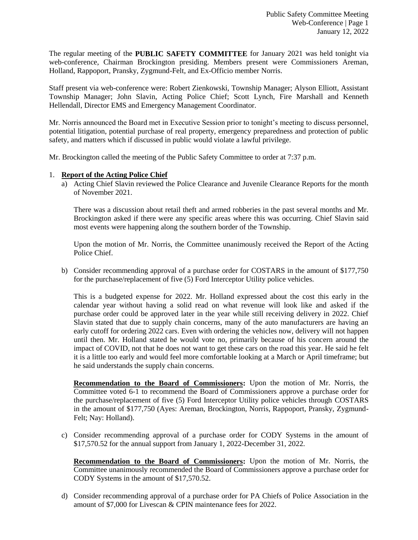The regular meeting of the **PUBLIC SAFETY COMMITTEE** for January 2021 was held tonight via web-conference, Chairman Brockington presiding. Members present were Commissioners Areman, Holland, Rappoport, Pransky, Zygmund-Felt, and Ex-Officio member Norris.

Staff present via web-conference were: Robert Zienkowski, Township Manager; Alyson Elliott, Assistant Township Manager; John Slavin, Acting Police Chief; Scott Lynch, Fire Marshall and Kenneth Hellendall, Director EMS and Emergency Management Coordinator.

Mr. Norris announced the Board met in Executive Session prior to tonight's meeting to discuss personnel, potential litigation, potential purchase of real property, emergency preparedness and protection of public safety, and matters which if discussed in public would violate a lawful privilege.

Mr. Brockington called the meeting of the Public Safety Committee to order at 7:37 p.m.

## 1. **Report of the Acting Police Chief**

a) Acting Chief Slavin reviewed the Police Clearance and Juvenile Clearance Reports for the month of November 2021.

There was a discussion about retail theft and armed robberies in the past several months and Mr. Brockington asked if there were any specific areas where this was occurring. Chief Slavin said most events were happening along the southern border of the Township.

Upon the motion of Mr. Norris, the Committee unanimously received the Report of the Acting Police Chief.

b) Consider recommending approval of a purchase order for COSTARS in the amount of \$177,750 for the purchase/replacement of five (5) Ford Interceptor Utility police vehicles.

This is a budgeted expense for 2022. Mr. Holland expressed about the cost this early in the calendar year without having a solid read on what revenue will look like and asked if the purchase order could be approved later in the year while still receiving delivery in 2022. Chief Slavin stated that due to supply chain concerns, many of the auto manufacturers are having an early cutoff for ordering 2022 cars. Even with ordering the vehicles now, delivery will not happen until then. Mr. Holland stated he would vote no, primarily because of his concern around the impact of COVID, not that he does not want to get these cars on the road this year. He said he felt it is a little too early and would feel more comfortable looking at a March or April timeframe; but he said understands the supply chain concerns.

**Recommendation to the Board of Commissioners:** Upon the motion of Mr. Norris, the Committee voted 6-1 to recommend the Board of Commissioners approve a purchase order for the purchase/replacement of five (5) Ford Interceptor Utility police vehicles through COSTARS in the amount of \$177,750 (Ayes: Areman, Brockington, Norris, Rappoport, Pransky, Zygmund-Felt; Nay: Holland).

c) Consider recommending approval of a purchase order for CODY Systems in the amount of \$17,570.52 for the annual support from January 1, 2022-December 31, 2022.

**Recommendation to the Board of Commissioners:** Upon the motion of Mr. Norris, the Committee unanimously recommended the Board of Commissioners approve a purchase order for CODY Systems in the amount of \$17,570.52.

d) Consider recommending approval of a purchase order for PA Chiefs of Police Association in the amount of \$7,000 for Livescan & CPIN maintenance fees for 2022.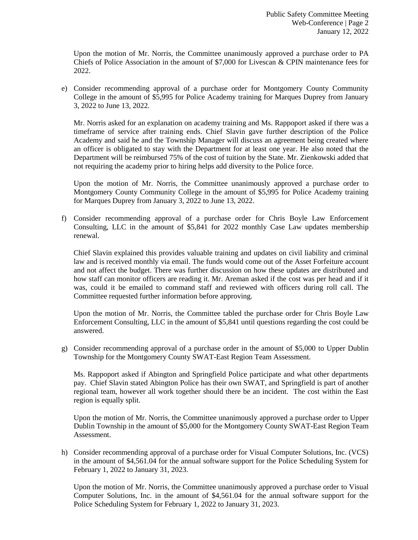Upon the motion of Mr. Norris, the Committee unanimously approved a purchase order to PA Chiefs of Police Association in the amount of \$7,000 for Livescan & CPIN maintenance fees for 2022.

e) Consider recommending approval of a purchase order for Montgomery County Community College in the amount of \$5,995 for Police Academy training for Marques Duprey from January 3, 2022 to June 13, 2022.

Mr. Norris asked for an explanation on academy training and Ms. Rappoport asked if there was a timeframe of service after training ends. Chief Slavin gave further description of the Police Academy and said he and the Township Manager will discuss an agreement being created where an officer is obligated to stay with the Department for at least one year. He also noted that the Department will be reimbursed 75% of the cost of tuition by the State. Mr. Zienkowski added that not requiring the academy prior to hiring helps add diversity to the Police force.

Upon the motion of Mr. Norris, the Committee unanimously approved a purchase order to Montgomery County Community College in the amount of \$5,995 for Police Academy training for Marques Duprey from January 3, 2022 to June 13, 2022.

f) Consider recommending approval of a purchase order for Chris Boyle Law Enforcement Consulting, LLC in the amount of \$5,841 for 2022 monthly Case Law updates membership renewal.

Chief Slavin explained this provides valuable training and updates on civil liability and criminal law and is received monthly via email. The funds would come out of the Asset Forfeiture account and not affect the budget. There was further discussion on how these updates are distributed and how staff can monitor officers are reading it. Mr. Areman asked if the cost was per head and if it was, could it be emailed to command staff and reviewed with officers during roll call. The Committee requested further information before approving.

Upon the motion of Mr. Norris, the Committee tabled the purchase order for Chris Boyle Law Enforcement Consulting, LLC in the amount of \$5,841 until questions regarding the cost could be answered.

g) Consider recommending approval of a purchase order in the amount of \$5,000 to Upper Dublin Township for the Montgomery County SWAT-East Region Team Assessment.

Ms. Rappoport asked if Abington and Springfield Police participate and what other departments pay. Chief Slavin stated Abington Police has their own SWAT, and Springfield is part of another regional team, however all work together should there be an incident. The cost within the East region is equally split.

Upon the motion of Mr. Norris, the Committee unanimously approved a purchase order to Upper Dublin Township in the amount of \$5,000 for the Montgomery County SWAT-East Region Team Assessment.

h) Consider recommending approval of a purchase order for Visual Computer Solutions, Inc. (VCS) in the amount of \$4,561.04 for the annual software support for the Police Scheduling System for February 1, 2022 to January 31, 2023.

Upon the motion of Mr. Norris, the Committee unanimously approved a purchase order to Visual Computer Solutions, Inc. in the amount of \$4,561.04 for the annual software support for the Police Scheduling System for February 1, 2022 to January 31, 2023.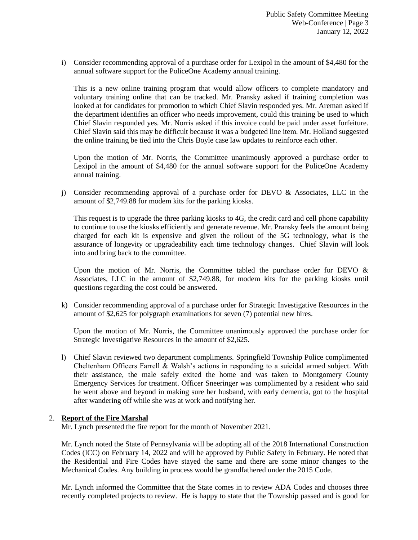i) Consider recommending approval of a purchase order for Lexipol in the amount of \$4,480 for the annual software support for the PoliceOne Academy annual training.

This is a new online training program that would allow officers to complete mandatory and voluntary training online that can be tracked. Mr. Pransky asked if training completion was looked at for candidates for promotion to which Chief Slavin responded yes. Mr. Areman asked if the department identifies an officer who needs improvement, could this training be used to which Chief Slavin responded yes. Mr. Norris asked if this invoice could be paid under asset forfeiture. Chief Slavin said this may be difficult because it was a budgeted line item. Mr. Holland suggested the online training be tied into the Chris Boyle case law updates to reinforce each other.

Upon the motion of Mr. Norris, the Committee unanimously approved a purchase order to Lexipol in the amount of \$4,480 for the annual software support for the PoliceOne Academy annual training.

j) Consider recommending approval of a purchase order for DEVO  $\&$  Associates, LLC in the amount of \$2,749.88 for modem kits for the parking kiosks.

This request is to upgrade the three parking kiosks to 4G, the credit card and cell phone capability to continue to use the kiosks efficiently and generate revenue. Mr. Pransky feels the amount being charged for each kit is expensive and given the rollout of the 5G technology, what is the assurance of longevity or upgradeability each time technology changes. Chief Slavin will look into and bring back to the committee.

Upon the motion of Mr. Norris, the Committee tabled the purchase order for DEVO  $\&$ Associates, LLC in the amount of \$2,749.88, for modem kits for the parking kiosks until questions regarding the cost could be answered.

k) Consider recommending approval of a purchase order for Strategic Investigative Resources in the amount of \$2,625 for polygraph examinations for seven (7) potential new hires.

Upon the motion of Mr. Norris, the Committee unanimously approved the purchase order for Strategic Investigative Resources in the amount of \$2,625.

l) Chief Slavin reviewed two department compliments. Springfield Township Police complimented Cheltenham Officers Farrell & Walsh's actions in responding to a suicidal armed subject. With their assistance, the male safely exited the home and was taken to Montgomery County Emergency Services for treatment. Officer Sneeringer was complimented by a resident who said he went above and beyond in making sure her husband, with early dementia, got to the hospital after wandering off while she was at work and notifying her.

## 2. **Report of the Fire Marshal**

Mr. Lynch presented the fire report for the month of November 2021.

Mr. Lynch noted the State of Pennsylvania will be adopting all of the 2018 International Construction Codes (ICC) on February 14, 2022 and will be approved by Public Safety in February. He noted that the Residential and Fire Codes have stayed the same and there are some minor changes to the Mechanical Codes. Any building in process would be grandfathered under the 2015 Code.

Mr. Lynch informed the Committee that the State comes in to review ADA Codes and chooses three recently completed projects to review. He is happy to state that the Township passed and is good for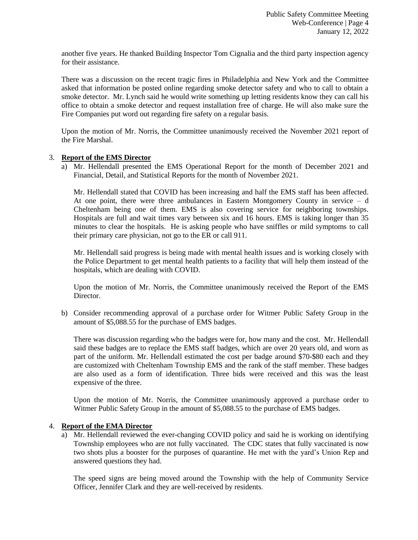another five years. He thanked Building Inspector Tom Cignalia and the third party inspection agency for their assistance.

There was a discussion on the recent tragic fires in Philadelphia and New York and the Committee asked that information be posted online regarding smoke detector safety and who to call to obtain a smoke detector. Mr. Lynch said he would write something up letting residents know they can call his office to obtain a smoke detector and request installation free of charge. He will also make sure the Fire Companies put word out regarding fire safety on a regular basis.

Upon the motion of Mr. Norris, the Committee unanimously received the November 2021 report of the Fire Marshal.

## 3. **Report of the EMS Director**

a) Mr. Hellendall presented the EMS Operational Report for the month of December 2021 and Financial, Detail, and Statistical Reports for the month of November 2021.

Mr. Hellendall stated that COVID has been increasing and half the EMS staff has been affected. At one point, there were three ambulances in Eastern Montgomery County in service – d Cheltenham being one of them. EMS is also covering service for neighboring townships. Hospitals are full and wait times vary between six and 16 hours. EMS is taking longer than 35 minutes to clear the hospitals. He is asking people who have sniffles or mild symptoms to call their primary care physician, not go to the ER or call 911.

Mr. Hellendall said progress is being made with mental health issues and is working closely with the Police Department to get mental health patients to a facility that will help them instead of the hospitals, which are dealing with COVID.

Upon the motion of Mr. Norris, the Committee unanimously received the Report of the EMS Director.

b) Consider recommending approval of a purchase order for Witmer Public Safety Group in the amount of \$5,088.55 for the purchase of EMS badges.

There was discussion regarding who the badges were for, how many and the cost. Mr. Hellendall said these badges are to replace the EMS staff badges, which are over 20 years old, and worn as part of the uniform. Mr. Hellendall estimated the cost per badge around \$70-\$80 each and they are customized with Cheltenham Township EMS and the rank of the staff member. These badges are also used as a form of identification. Three bids were received and this was the least expensive of the three.

Upon the motion of Mr. Norris, the Committee unanimously approved a purchase order to Witmer Public Safety Group in the amount of \$5,088.55 to the purchase of EMS badges.

## 4. **Report of the EMA Director**

a) Mr. Hellendall reviewed the ever-changing COVID policy and said he is working on identifying Township employees who are not fully vaccinated. The CDC states that fully vaccinated is now two shots plus a booster for the purposes of quarantine. He met with the yard's Union Rep and answered questions they had.

The speed signs are being moved around the Township with the help of Community Service Officer, Jennifer Clark and they are well-received by residents.